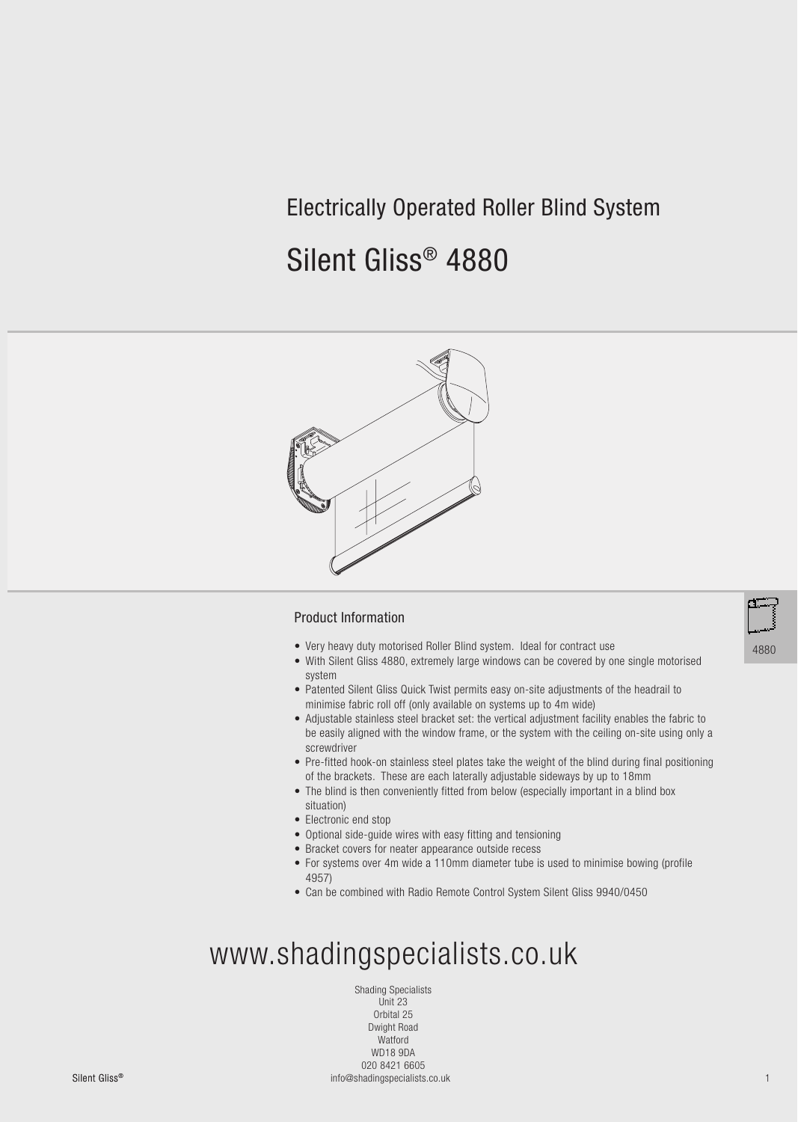## Electrically Operated Roller Blind System

# Silent Gliss® 4880



#### Product Information

- Very heavy duty motorised Roller Blind system. Ideal for contract use
- With Silent Gliss 4880, extremely large windows can be covered by one single motorised system
- Patented Silent Gliss Quick Twist permits easy on-site adjustments of the headrail to minimise fabric roll off (only available on systems up to 4m wide)
- Adjustable stainless steel bracket set: the vertical adjustment facility enables the fabric to be easily aligned with the window frame, or the system with the ceiling on-site using only a screwdriver
- Pre-fitted hook-on stainless steel plates take the weight of the blind during final positioning of the brackets. These are each laterally adjustable sideways by up to 18mm
- The blind is then conveniently fitted from below (especially important in a blind box situation)
- Electronic end stop
- Optional side-guide wires with easy fitting and tensioning
- Bracket covers for neater appearance outside recess
- For systems over 4m wide a 110mm diameter tube is used to minimise bowing (profile 4957)
- Can be combined with Radio Remote Control System Silent Gliss 9940/0450

# www.shadingspecialists.co.uk

Shading Specialists Unit 23 Orbital 25 Dwight Road Watford WD18 9DA 020 8421 6605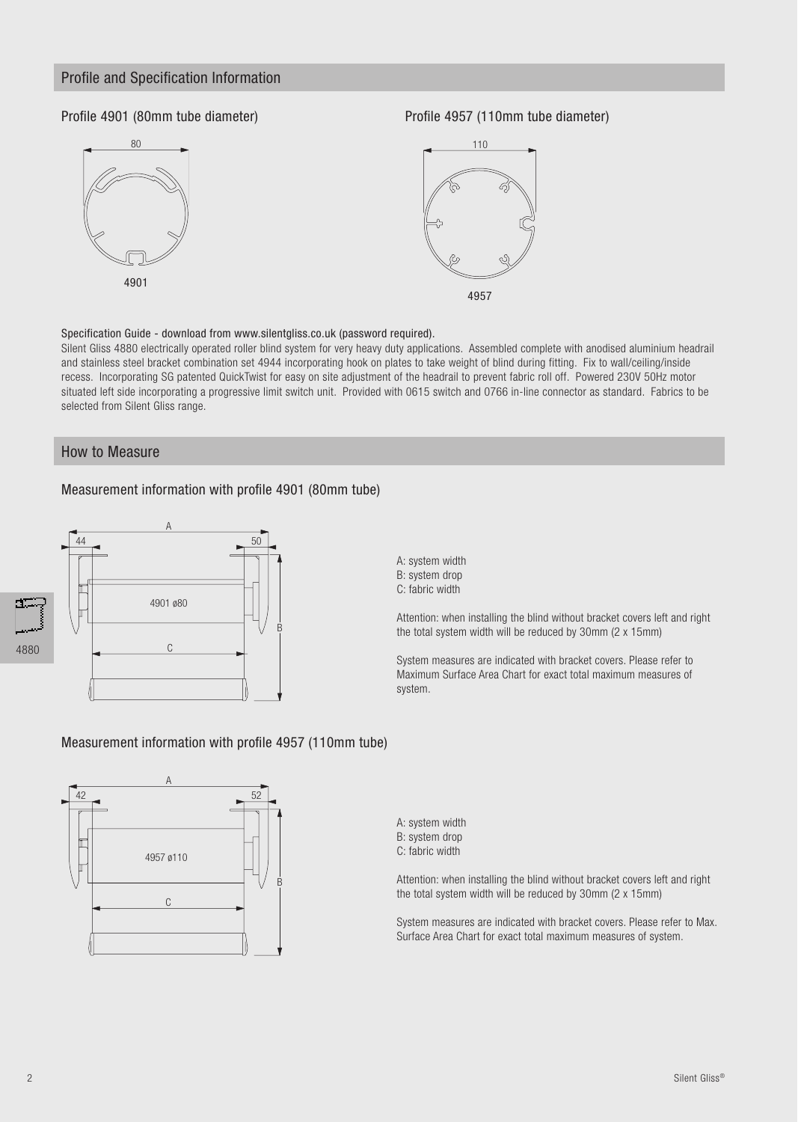#### Profile and Specification Information

#### Profile 4901 (80mm tube diameter)



Profile 4957 (110mm tube diameter)





Specification Guide - download from www.silentgliss.co.uk (password required).

Silent Gliss 4880 electrically operated roller blind system for very heavy duty applications. Assembled complete with anodised aluminium headrail and stainless steel bracket combination set 4944 incorporating hook on plates to take weight of blind during fitting. Fix to wall/ceiling/inside recess. Incorporating SG patented QuickTwist for easy on site adjustment of the headrail to prevent fabric roll off. Powered 230V 50Hz motor situated left side incorporating a progressive limit switch unit. Provided with 0615 switch and 0766 in-line connector as standard. Fabrics to be selected from Silent Gliss range.

#### How to Measure

#### Measurement information with profile 4901 (80mm tube)



A: system width B: system drop C: fabric width

Attention: when installing the blind without bracket covers left and right the total system width will be reduced by 30mm (2 x 15mm)

System measures are indicated with bracket covers. Please refer to Maximum Surface Area Chart for exact total maximum measures of system.

#### Measurement information with profile 4957 (110mm tube)



A: system width B: system drop C: fabric width

Attention: when installing the blind without bracket covers left and right the total system width will be reduced by 30mm (2 x 15mm)

System measures are indicated with bracket covers. Please refer to Max. Surface Area Chart for exact total maximum measures of system.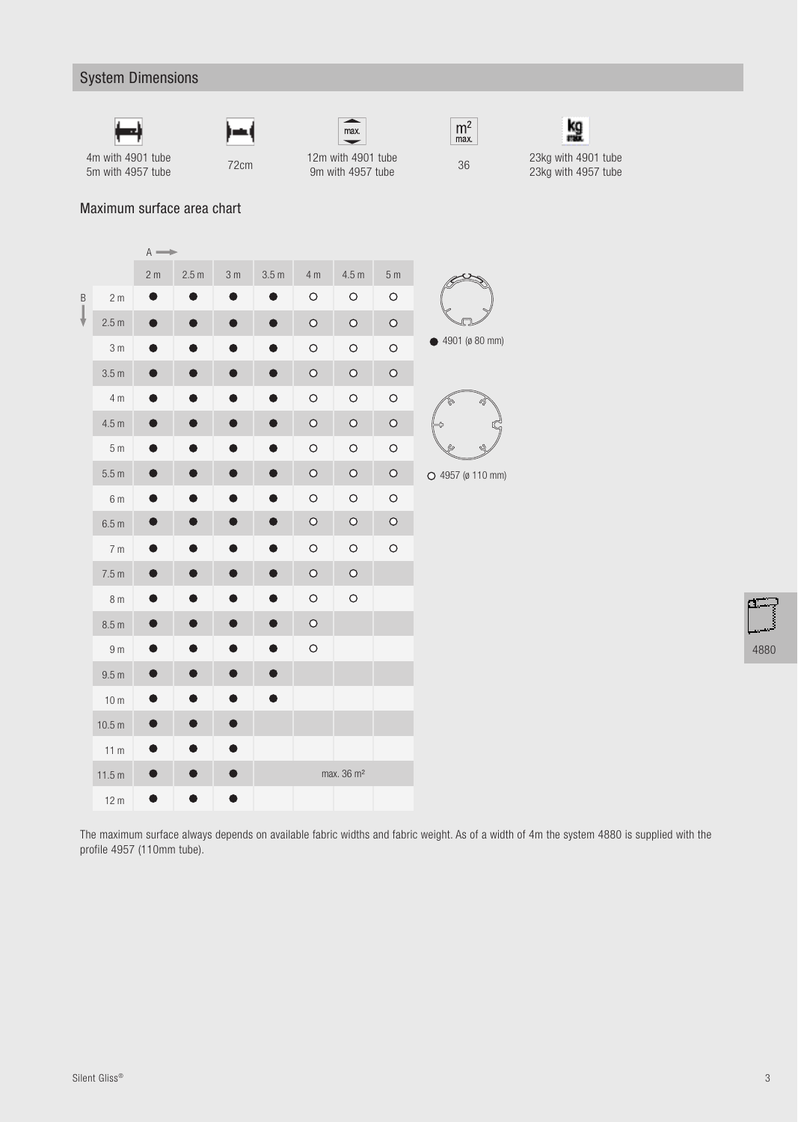### System Dimensions











9m with 4957 tube <sup>36</sup>23kg with 4901 tube 23kg with 4957 tube

4m with 4901 tube

57 The T2cm 12m with 4901 tube 72cm 12m with 4957 tube

#### Maximum surface area chart

|   |                   | $A \longrightarrow$ |       |                |                  |                |                        |                |                |
|---|-------------------|---------------------|-------|----------------|------------------|----------------|------------------------|----------------|----------------|
|   |                   | 2 <sub>m</sub>      | 2.5 m | 3 <sub>m</sub> | 3.5 <sub>m</sub> | 4 <sub>m</sub> | 4.5 m                  | 5 <sub>m</sub> |                |
| B | 2 <sub>m</sub>    |                     |       |                |                  | $\circ$        | $\bigcirc$             | $\bigcirc$     |                |
| ₩ | 2.5 <sub>m</sub>  | D                   |       |                |                  | $\bigcirc$     | $\bigcirc$             | $\bigcirc$     |                |
|   | 3 <sub>m</sub>    |                     |       |                |                  | $\circ$        | $\circ$                | $\bigcirc$     |                |
|   | 3.5 <sub>m</sub>  |                     |       |                |                  | $\bigcirc$     | $\bigcirc$             | $\bigcirc$     |                |
|   | 4 m               |                     |       |                |                  | $\circ$        | $\bigcirc$             | $\bigcirc$     |                |
|   | 4.5 <sub>m</sub>  |                     |       |                |                  | $\circ$        | $\circ$                | $\circ$        |                |
|   | 5 <sub>m</sub>    |                     |       |                |                  | $\circ$        | $\circ$                | $\bigcirc$     |                |
|   | 5.5 <sub>m</sub>  |                     |       |                |                  | $\bigcirc$     | $\bigcirc$             | $\circ$        | $\overline{C}$ |
|   | 6 m               |                     |       |                |                  | $\circ$        | $\circ$                | $\circ$        |                |
|   | 6.5 m             |                     |       |                |                  | $\bigcirc$     | $\bigcirc$             | $\bigcirc$     |                |
|   | 7 <sub>m</sub>    | D                   |       |                | Ð                | $\bigcirc$     | $\bigcirc$             | $\bigcirc$     |                |
|   | 7.5 <sub>m</sub>  |                     |       |                |                  | $\bigcirc$     | $\circ$                |                |                |
|   | 8 <sub>m</sub>    |                     |       |                |                  | O              | $\circ$                |                |                |
|   | 8.5 <sub>m</sub>  |                     |       |                |                  | $\bigcirc$     |                        |                |                |
|   | 9 <sub>m</sub>    |                     |       |                |                  | $\bigcirc$     |                        |                |                |
|   | 9.5 <sub>m</sub>  |                     |       |                |                  |                |                        |                |                |
|   | 10 <sub>m</sub>   |                     |       |                |                  |                |                        |                |                |
|   | 10.5 <sub>m</sub> |                     |       |                |                  |                |                        |                |                |
|   | 11 <sub>m</sub>   |                     |       |                |                  |                |                        |                |                |
|   | 11.5 m            |                     |       |                |                  |                | max. 36 m <sup>2</sup> |                |                |
|   | 12 <sub>m</sub>   | J                   |       |                |                  |                |                        |                |                |
|   |                   |                     |       |                |                  |                |                        |                |                |

4901 (ø 80 mm)

5 4957 (ø 110 mm)

4880

The maximum surface always depends on available fabric widths and fabric weight. As of a width of 4m the system 4880 is supplied with the profile 4957 (110mm tube).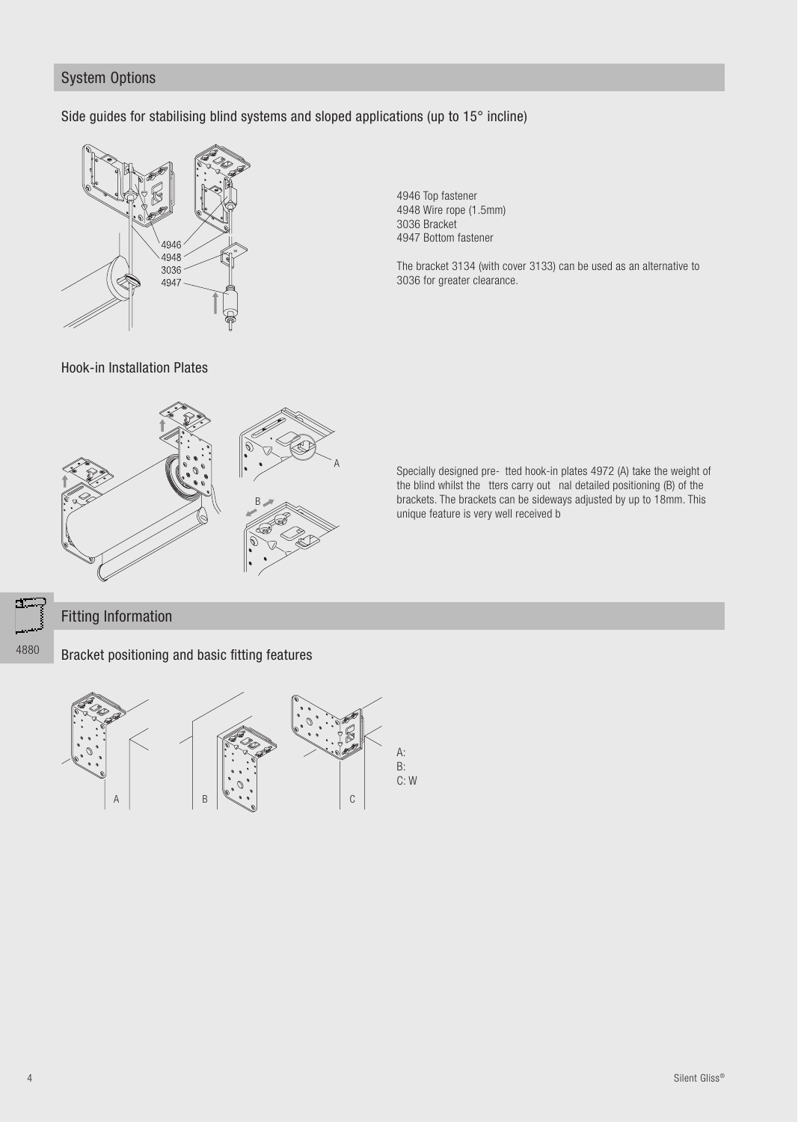#### **System Options**

Side guides for stabilising blind systems and sloped applications (up to 15° incline)



4946 Top fastener 4948 Wire rope (1.5mm) 3036 Bracket 4947 Bottom fastener

The bracket 3134 (with cover 3133) can be used as an alternative to 3036 for greater clearance.

Hook-in Installation Plates



Specially designed pre- tted hook-in plates 4972 (A) take the weight of the blind whilst the tters carry out nal detailed positioning (B) of the brackets. The brackets can be sideways adjusted by up to 18mm. This unique feature is very well received b

### **Fitting Information**

4880

Bracket positioning and basic fitting features

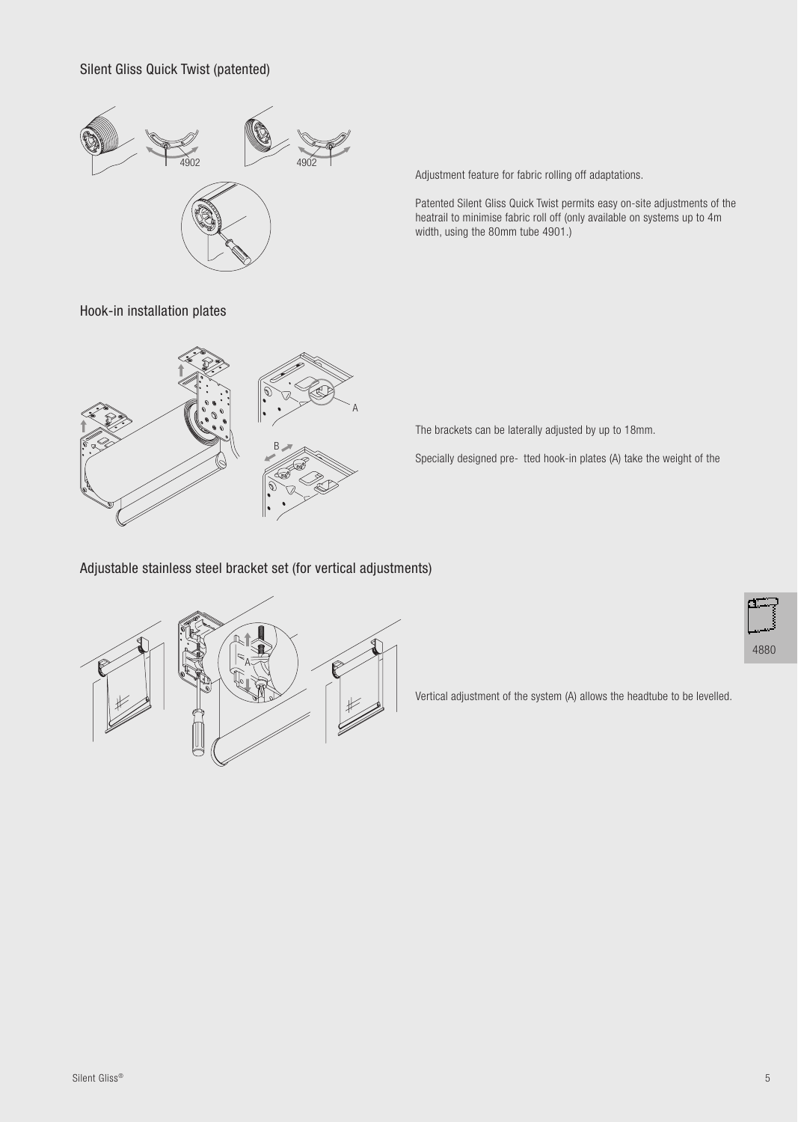Silent Gliss Quick Twist (patented)



Adjustment feature for fabric rolling off adaptations.

Patented Silent Gliss Quick Twist permits easy on-site adjustments of the heatrail to minimise fabric roll off (only available on systems up to 4m width, using the 80mm tube 4901.)

Hook-in installation plates



The brackets can be laterally adjusted by up to 18mm.

Specially designed pre- tted hook-in plates (A) take the weight of the

Adjustable stainless steel bracket set (for vertical adjustments)



4880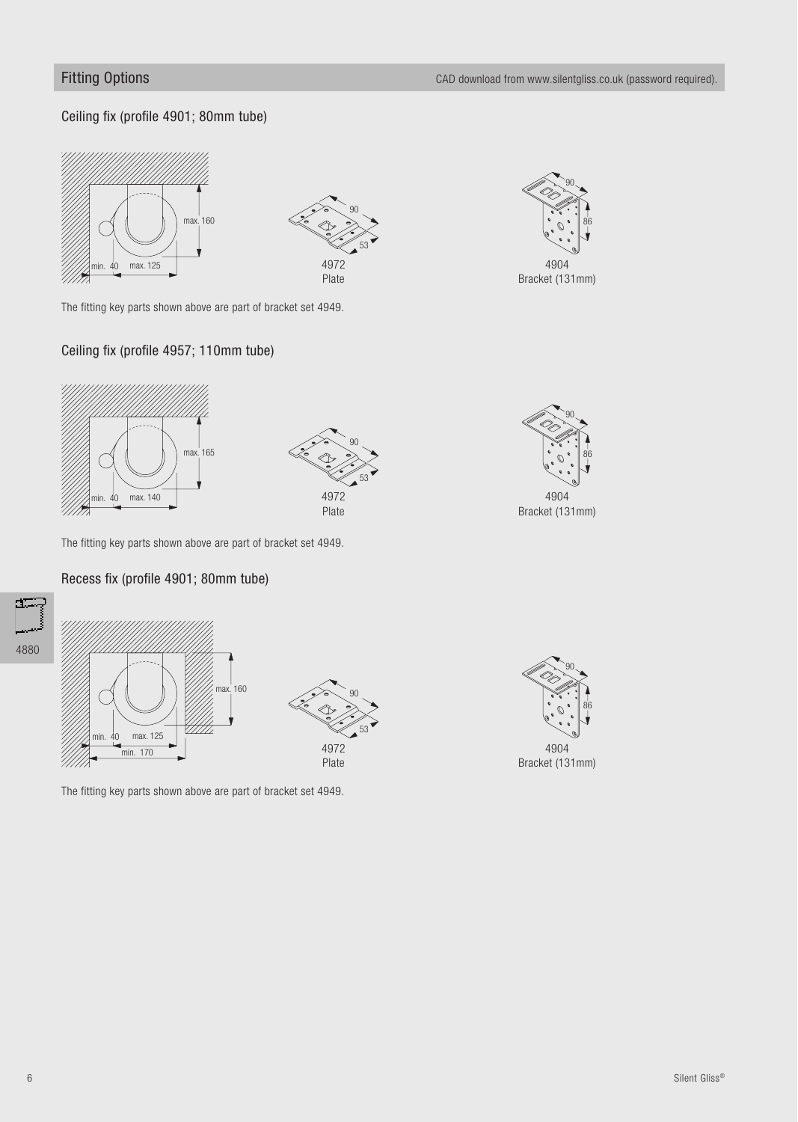90

86

#### Ceiling fix (profile 4901; 80mm tube)





The fitting key parts shown above are part of bracket set 4949.

#### Ceiling fix (profile 4957; 110mm tube)





90

4972 Plate 53

The fitting key parts shown above are part of bracket set 4949.

#### Recess fix (profile 4901; 80mm tube)





The fitting key parts shown above are part of bracket set 4949.

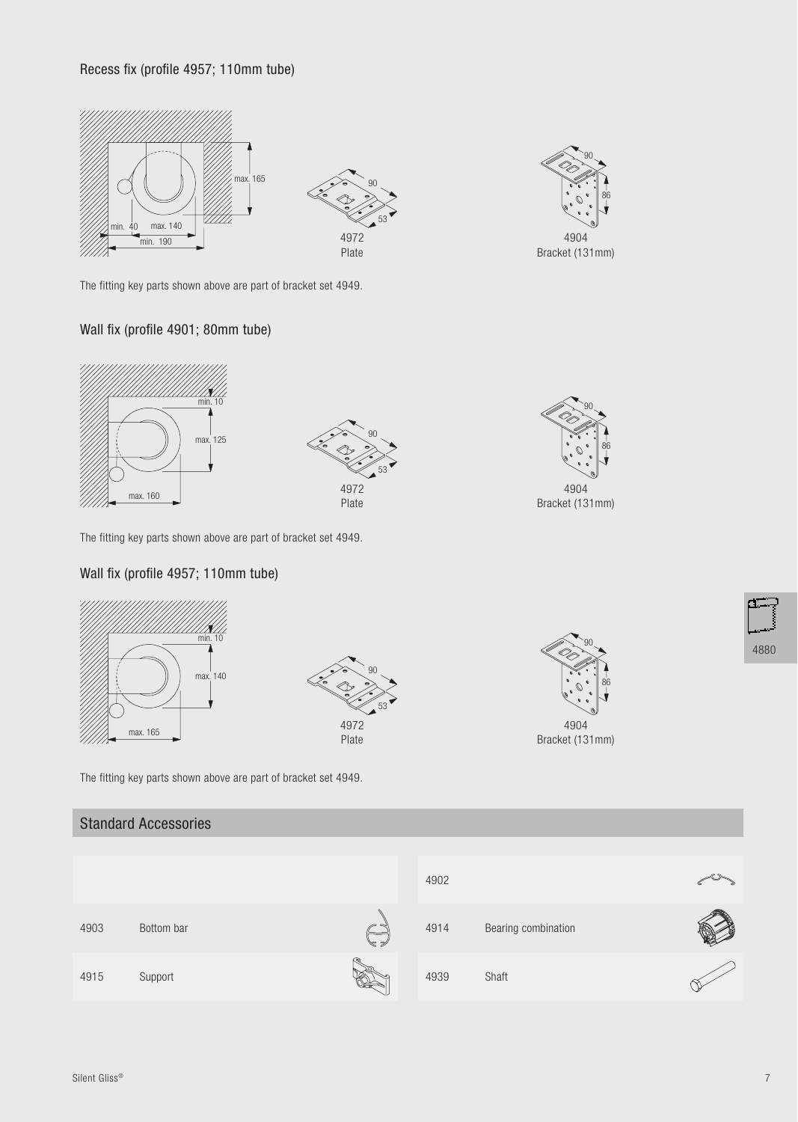#### Recess fix (profile 4957; 110mm tube)





90

4904 Bracket (131mm)

86

The fitting key parts shown above are part of bracket set 4949.

#### Wall fix (profile 4901; 80mm tube)



The fitting key parts shown above are part of bracket set 4949.

#### Wall fix (profile 4957; 110mm tube)



The fitting key parts shown above are part of bracket set 4949.

#### Standard Accessories

|      |            |       | 4902 |                     |  |
|------|------------|-------|------|---------------------|--|
| 4903 | Bottom bar | ∕ड ≉∕ | 4914 | Bearing combination |  |
| 4915 | Support    |       | 4939 | Shaft               |  |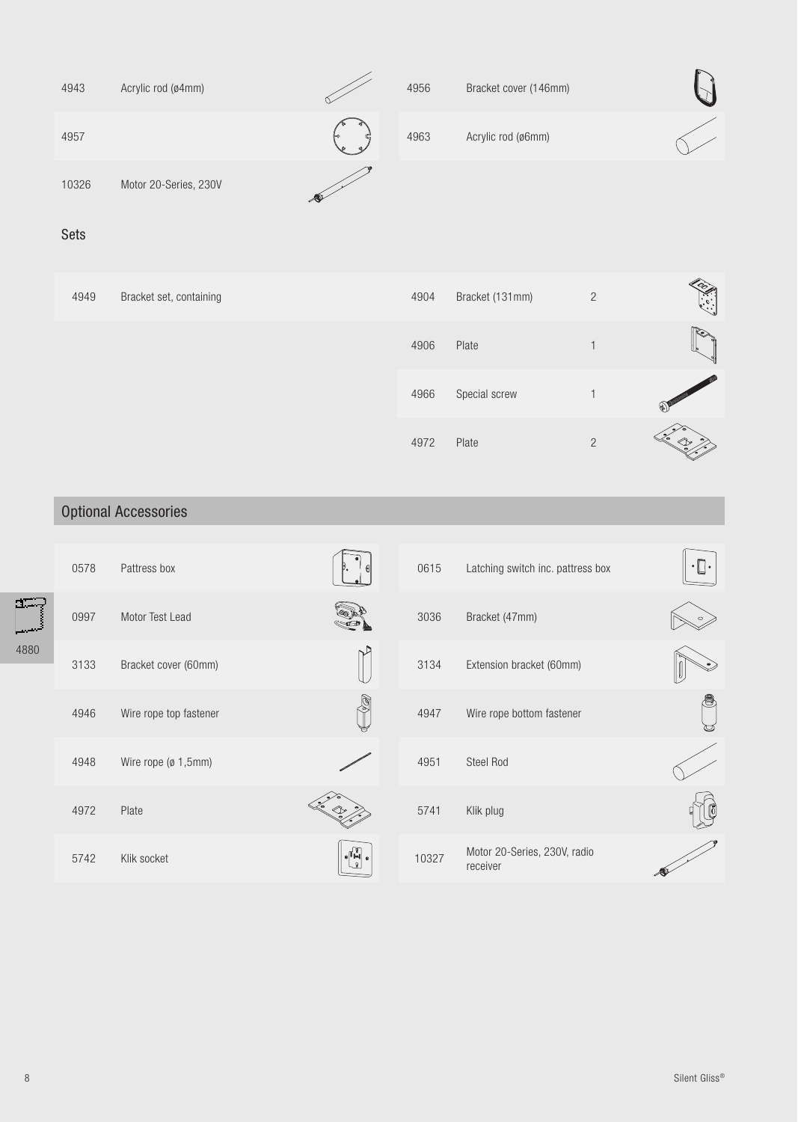| 4943  | Acrylic rod (ø4mm)    |         | 4956 | Bracket cover (146mm) |  |
|-------|-----------------------|---------|------|-----------------------|--|
| 4957  |                       | ⊫<br>ه. | 4963 | Acrylic rod (ø6mm)    |  |
| 10326 | Motor 20-Series, 230V |         |      |                       |  |

#### Sets

| 4949 | Bracket set, containing | 4904 | Bracket (131mm) | $\overline{2}$ | O<br>$\ddot{\cdot}$                            |
|------|-------------------------|------|-----------------|----------------|------------------------------------------------|
|      |                         | 4906 | Plate           |                |                                                |
|      |                         | 4966 | Special screw   |                | $\begin{pmatrix} 1 & 1 \\ 1 & 1 \end{pmatrix}$ |
|      |                         | 4972 | Plate           | $\overline{2}$ |                                                |

### Optional Accessories

|      | 0578 | Pattress box           |                                                                                                              | 0615  | Latching switch inc. pattress box        | $\cdot \mathbb{R}$ . |
|------|------|------------------------|--------------------------------------------------------------------------------------------------------------|-------|------------------------------------------|----------------------|
| a=.  | 0997 | Motor Test Lead        |                                                                                                              | 3036  | Bracket (47mm)                           |                      |
| 4880 | 3133 | Bracket cover (60mm)   |                                                                                                              | 3134  | Extension bracket (60mm)                 |                      |
|      | 4946 | Wire rope top fastener |                                                                                                              | 4947  | Wire rope bottom fastener                | <u>U</u>             |
|      | 4948 | Wire rope (ø 1,5mm)    |                                                                                                              | 4951  | Steel Rod                                |                      |
|      | 4972 | Plate                  |                                                                                                              | 5741  | Klik plug                                |                      |
|      | 5742 | Klik socket            | $\begin{bmatrix} \mathbf{0} & \mathbf{0} & \mathbf{0} \\ \mathbf{0} & \mathbf{0} & \mathbf{0} \end{bmatrix}$ | 10327 | Motor 20-Series, 230V, radio<br>receiver |                      |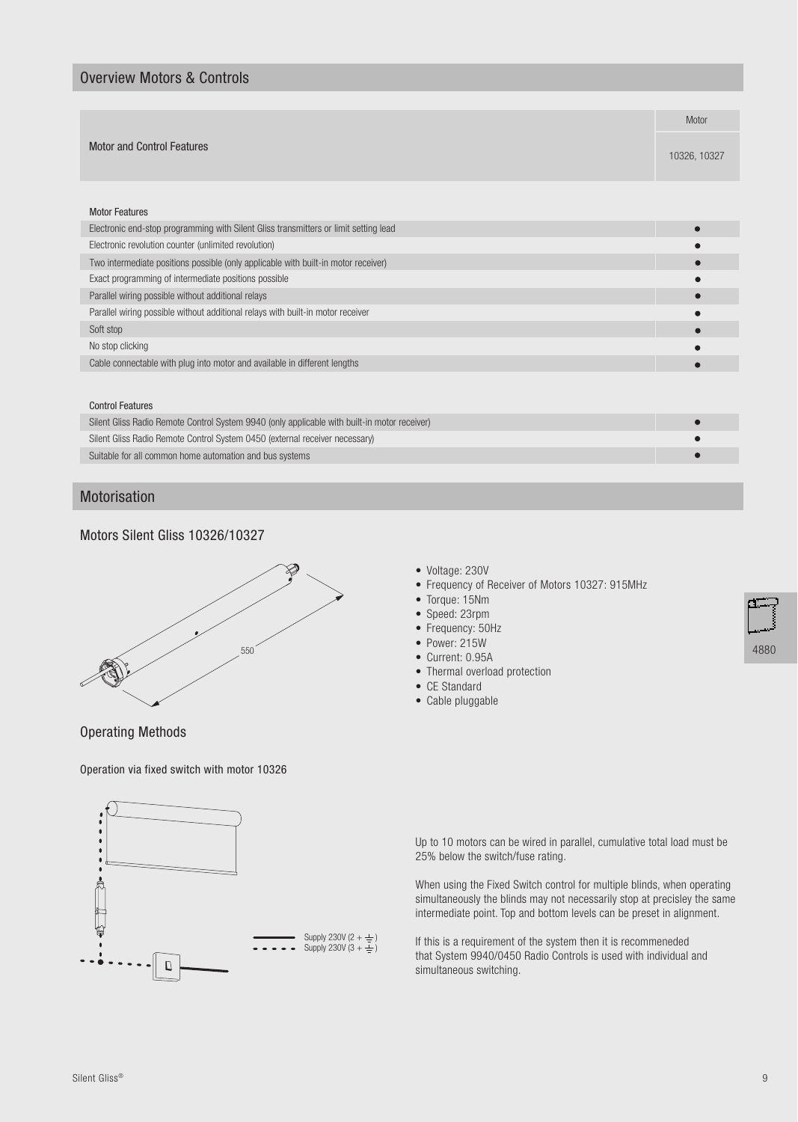#### Overview Motors & Controls

|                                                                                      | Motor        |  |  |
|--------------------------------------------------------------------------------------|--------------|--|--|
|                                                                                      |              |  |  |
| <b>Motor and Control Features</b>                                                    |              |  |  |
|                                                                                      | 10326, 10327 |  |  |
|                                                                                      |              |  |  |
| <b>Motor Features</b>                                                                |              |  |  |
| Electronic end-stop programming with Silent Gliss transmitters or limit setting lead |              |  |  |
| Electronic revolution counter (unlimited revolution)                                 |              |  |  |
| Two intermediate positions possible (only applicable with built-in motor receiver)   |              |  |  |
| Exact programming of intermediate positions possible                                 |              |  |  |
| Parallel wiring possible without additional relays                                   |              |  |  |
| Parallel wiring possible without additional relays with built-in motor receiver      |              |  |  |
| Soft stop                                                                            |              |  |  |
| No stop clicking                                                                     |              |  |  |
| Cable connectable with plug into motor and available in different lengths            |              |  |  |
|                                                                                      |              |  |  |
| <b>Control Features</b>                                                              |              |  |  |
|                                                                                      |              |  |  |

| Silent Gliss Radio Remote Control System 9940 (only applicable with built-in motor receiver) |  |
|----------------------------------------------------------------------------------------------|--|
| Silent Gliss Radio Remote Control System 0450 (external receiver necessary)                  |  |
| Suitable for all common home automation and bus systems                                      |  |

#### Motorisation

#### Motors Silent Gliss 10326/10327



Operating Methods

Operation via fixed switch with motor 10326



- Voltage: 230V
- Frequency of Receiver of Motors 10327: 915MHz
- Torque: 15Nm
- Speed: 23rpm
- Frequency: 50Hz
- Power: 215W
- Current: 0.95A
- Thermal overload protection
- CE Standard
- Cable pluggable



Up to 10 motors can be wired in parallel, cumulative total load must be 25% below the switch/fuse rating.

When using the Fixed Switch control for multiple blinds, when operating simultaneously the blinds may not necessarily stop at precisley the same intermediate point. Top and bottom levels can be preset in alignment.

If this is a requirement of the system then it is recommeneded that System 9940/0450 Radio Controls is used with individual and simultaneous switching.